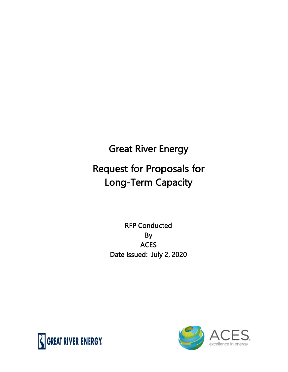# Great River Energy

## Request for Proposals for Long-Term Capacity

## RFP Conducted By **ACES** Date Issued: July 2, 2020



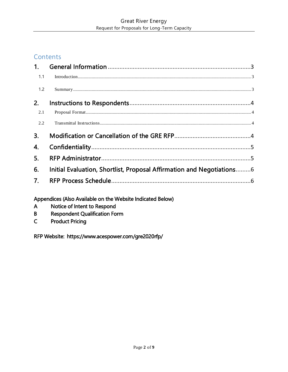#### **Contents**

| $1_{\cdot}$    |                                                                       |
|----------------|-----------------------------------------------------------------------|
| 1.1            | $\label{eq:1} Introduction. 3$                                        |
| 1.2            |                                                                       |
| 2.             |                                                                       |
| 2.1            |                                                                       |
| 2.2            |                                                                       |
| 3.             |                                                                       |
| 4.             |                                                                       |
| 5.             |                                                                       |
| 6.             | Initial Evaluation, Shortlist, Proposal Affirmation and Negotiations6 |
| 7 <sub>1</sub> |                                                                       |
|                | Appendices (Also Available on the Website Indicated Below)            |

- Appendices (Also Available on the v<br>A Motice of Intent to Respond
- B Respondent Qualification Form
- C Product Pricing

RFP Website: https://www.acespower.com/gre2020rfp/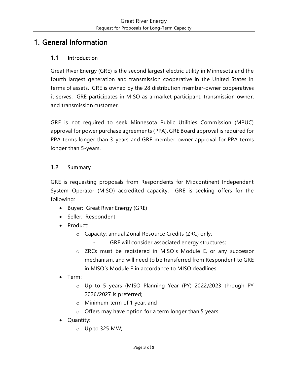## <span id="page-2-0"></span>1. General Information

#### <span id="page-2-1"></span>1.1 Introduction

Great River Energy (GRE) is the second largest electric utility in Minnesota and the fourth largest generation and transmission cooperative in the United States in terms of assets. GRE is owned by the 28 distribution member-owner cooperatives it serves. GRE participates in MISO as a market participant, transmission owner, and transmission customer.

GRE is not required to seek Minnesota Public Utilities Commission (MPUC) approval for power purchase agreements (PPA). GRE Board approval is required for PPA terms longer than 3-years and GRE member-owner approval for PPA terms longer than 5-years.

#### <span id="page-2-2"></span>1.2 Summary

GRE is requesting proposals from Respondents for Midcontinent Independent System Operator (MISO) accredited capacity. GRE is seeking offers for the following:

- Buyer: Great River Energy (GRE)
- Seller: Respondent
- Product:
	- o Capacity; annual Zonal Resource Credits (ZRC) only;
		- GRE will consider associated energy structures;
	- o ZRCs must be registered in MISO's Module E, or any successor mechanism, and will need to be transferred from Respondent to GRE in MISO's Module E in accordance to MISO deadlines.
- Term:
	- o Up to 5 years (MISO Planning Year (PY) 2022/2023 through PY 2026/2027 is preferred;
	- o Minimum term of 1 year, and
	- o Offers may have option for a term longer than 5 years.
- Quantity:
	- o Up to 325 MW;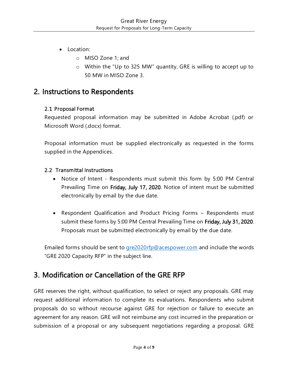- Location:
	- o MISO Zone 1; and
	- o Within the "Up to 325 MW" quantity, GRE is willing to accept up to 50 MW in MISO Zone 3.

## <span id="page-3-0"></span>2. Instructions to Respondents

#### <span id="page-3-1"></span>2.1 Proposal Format

Requested proposal information may be submitted in Adobe Acrobat (.pdf) or Microsoft Word (.docx) format.

Proposal information must be supplied electronically as requested in the forms supplied in the Appendices.

#### <span id="page-3-2"></span>2.2 Transmittal Instructions

- Notice of Intent Respondents must submit this form by 5:00 PM Central Prevailing Time on Friday, July 17, 2020. Notice of intent must be submitted electronically by email by the due date.
- Respondent Qualification and Product Pricing Forms Respondents must submit these forms by 5:00 PM Central Prevailing Time on Friday, July 31, 2020. Proposals must be submitted electronically by email by the due date.

Emailed forms should be sent to [gre2020rfp@acespower.com](mailto:gre2020rfp@acespower.com) and include the words "GRE 2020 Capacity RFP" in the subject line.

### <span id="page-3-3"></span>3. Modification or Cancellation of the GRE RFP

GRE reserves the right, without qualification, to select or reject any proposals. GRE may request additional information to complete its evaluations. Respondents who submit proposals do so without recourse against GRE for rejection or failure to execute an agreement for any reason. GRE will not reimburse any cost incurred in the preparation or submission of a proposal or any subsequent negotiations regarding a proposal. GRE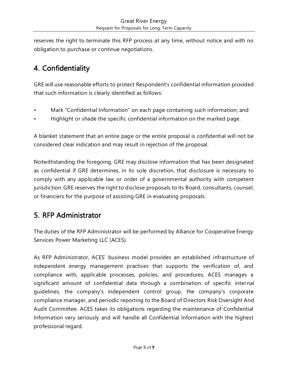reserves the right to terminate this RFP process at any time, without notice and with no obligation to purchase or continue negotiations.

## <span id="page-4-0"></span>4. Confidentiality

GRE will use reasonable efforts to protect Respondent's confidential information provided that such information is clearly identified as follows:

- Mark "Confidential Information" on each page containing such information; and
- Highlight or shade the specific confidential information on the marked page.

A blanket statement that an entire page or the entire proposal is confidential will not be considered clear indication and may result in rejection of the proposal.

Notwithstanding the foregoing, GRE may disclose information that has been designated as confidential if GRE determines, in its sole discretion, that disclosure is necessary to comply with any applicable law or order of a governmental authority with competent jurisdiction. GRE reserves the right to disclose proposals to its Board, consultants, counsel, or financiers for the purpose of assisting GRE in evaluating proposals.

## <span id="page-4-1"></span>5. RFP Administrator

The duties of the RFP Administrator will be performed by Alliance for Cooperative Energy Services Power Marketing LLC (ACES).

As RFP Administrator, ACES' business model provides an established infrastructure of independent energy management practices that supports the verification of, and compliance with, applicable processes, policies, and procedures. ACES manages a significant amount of confidential data through a combination of specific internal guidelines, the company's independent control group, the company's corporate compliance manager, and periodic reporting to the Board of Directors Risk Oversight And Audit Committee. ACES takes its obligations regarding the maintenance of Confidential Information very seriously and will handle all Confidential Information with the highest professional regard.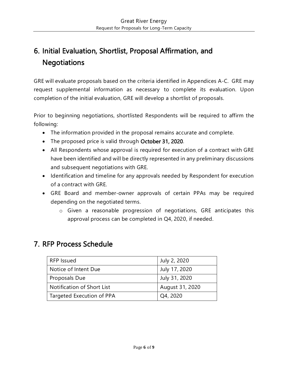## <span id="page-5-0"></span>6. Initial Evaluation, Shortlist, Proposal Affirmation, and **Negotiations**

GRE will evaluate proposals based on the criteria identified in Appendices A-C. GRE may request supplemental information as necessary to complete its evaluation. Upon completion of the initial evaluation, GRE will develop a shortlist of proposals.

Prior to beginning negotiations, shortlisted Respondents will be required to affirm the following:

- The information provided in the proposal remains accurate and complete.
- The proposed price is valid through October 31, 2020.
- All Respondents whose approval is required for execution of a contract with GRE have been identified and will be directly represented in any preliminary discussions and subsequent negotiations with GRE.
- Identification and timeline for any approvals needed by Respondent for execution of a contract with GRE.
- GRE Board and member-owner approvals of certain PPAs may be required depending on the negotiated terms.
	- o Given a reasonable progression of negotiations, GRE anticipates this approval process can be completed in Q4, 2020, if needed.

#### <span id="page-5-1"></span>7. RFP Process Schedule

| <b>RFP Issued</b>          | July 2, 2020    |  |
|----------------------------|-----------------|--|
| Notice of Intent Due       | July 17, 2020   |  |
| Proposals Due              | July 31, 2020   |  |
| Notification of Short List | August 31, 2020 |  |
| Targeted Execution of PPA  | Q4, 2020        |  |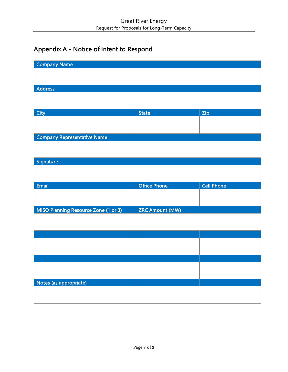## Appendix A - Notice of Intent to Respond

| <b>Company Name</b>                  |                        |                   |
|--------------------------------------|------------------------|-------------------|
|                                      |                        |                   |
| <b>Address</b>                       |                        |                   |
|                                      |                        |                   |
|                                      |                        |                   |
| <b>City</b>                          | <b>State</b>           | Zip               |
|                                      |                        |                   |
| <b>Company Representative Name</b>   |                        |                   |
|                                      |                        |                   |
| Signature                            |                        |                   |
|                                      |                        |                   |
|                                      |                        |                   |
|                                      |                        |                   |
| <b>Email</b>                         | <b>Office Phone</b>    | <b>Cell Phone</b> |
|                                      |                        |                   |
|                                      |                        |                   |
| MISO Planning Resource Zone (1 or 3) | <b>ZRC Amount (MW)</b> |                   |
|                                      |                        |                   |
|                                      |                        |                   |
|                                      |                        |                   |
|                                      |                        |                   |
|                                      |                        |                   |
|                                      |                        |                   |
| Notes (as appropriate)               |                        |                   |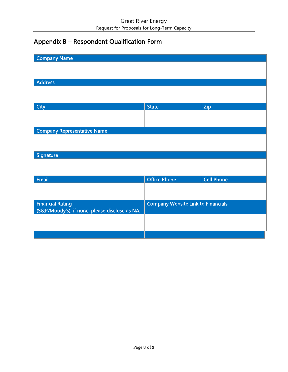## Appendix B – Respondent Qualification Form

| <b>Company Name</b>                                                       |                                           |                   |  |  |
|---------------------------------------------------------------------------|-------------------------------------------|-------------------|--|--|
|                                                                           |                                           |                   |  |  |
| <b>Address</b>                                                            |                                           |                   |  |  |
|                                                                           |                                           |                   |  |  |
|                                                                           |                                           |                   |  |  |
| <b>City</b>                                                               | <b>State</b>                              | Zip               |  |  |
|                                                                           |                                           |                   |  |  |
|                                                                           |                                           |                   |  |  |
| <b>Company Representative Name</b>                                        |                                           |                   |  |  |
|                                                                           |                                           |                   |  |  |
| Signature                                                                 |                                           |                   |  |  |
|                                                                           |                                           |                   |  |  |
|                                                                           |                                           |                   |  |  |
| Email                                                                     | <b>Office Phone</b>                       | <b>Cell Phone</b> |  |  |
|                                                                           |                                           |                   |  |  |
|                                                                           |                                           |                   |  |  |
| <b>Financial Rating</b><br>(S&P/Moody's), if none, please disclose as NA. | <b>Company Website Link to Financials</b> |                   |  |  |
|                                                                           |                                           |                   |  |  |
|                                                                           |                                           |                   |  |  |
|                                                                           |                                           |                   |  |  |